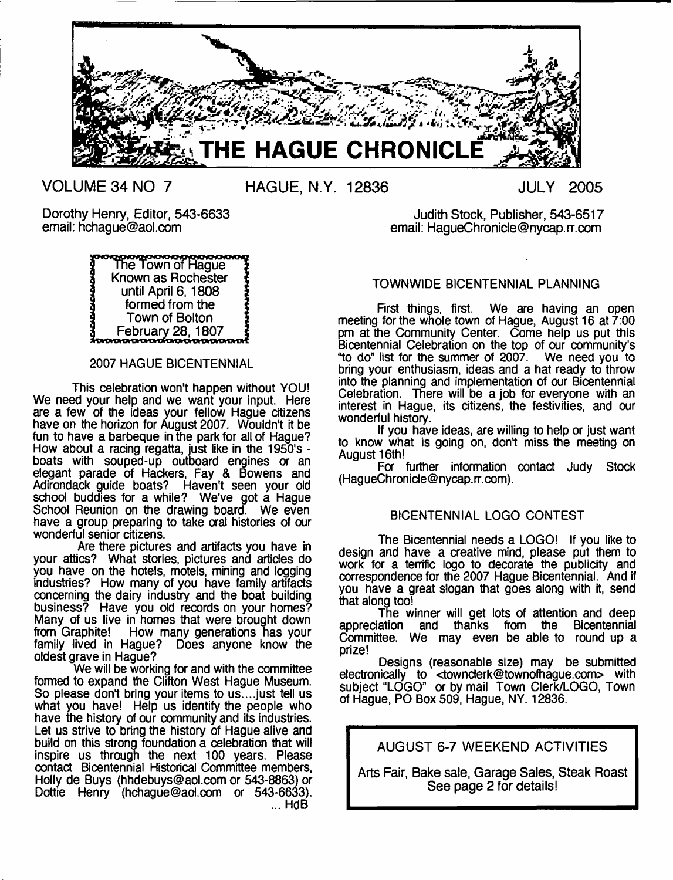

**VOLUME 34 NO 7 HAGUE, N.Y. 12836 JULY 2005**



## 2007 HAGUE BICENTENNIAL

This celebration won't happen without YOU! We need your help and we want your input. Here are a few of the ideas your fellow Hague citizens have on the horizon for August 2007. Wouldn't it be fun to have a barbeque in the park for all of Hague? How about a racing regatta, just like in the 1950's boats with souped-up outboard engines or an elegant parade of Hackers, Fay & Bowens and Adirondack guide boats? Haven't seen your old school buddies for a while? We've got a Hague School Reunion on the drawing board. We even have a group preparing to take oral histories of our wonderful senior citizens.

Are there pictures and artifacts you have in your attics? What stories, pictures and articles do you have on the hotels, motels, mining and logging industries? How many of you have family artifacts concerning the dairy industry and the boat building business? Have you old records on your homes? Many of us live in homes that were brought down from Graphite! How many generations has your family lived in Hague? Does anyone know the oldest grave in Hague?

We will be working for and with the committee formed to expand the Clifton West Hague Museum. So please don't bring your items to us.... just tell us what you have! Help us identify the people who have the history of our community and its industries. Let us strive to bring the history of Hague alive and build on this strong foundation a celebration that will inspire us through the next 100 years. Please contact Bicentennial Historical Committee members, Holly de Buys ([hhdebuys@aol.com](mailto:hhdebuys@aol.com) or 543-8863) or Dottie Henry [\(hchague@aol.com](mailto:hchague@aol.com) *or* 543-6633). ... HdB

Dorothy Henry, Editor, 543-6633 Judith Stock, Publisher, 543-6517 email: HaqueChronicle@nycap.rr.com

# TOWNWIDE BICENTENNIAL PLANNING

First things, first. We are having an open meeting for the whole town of Hague, August 16 at 7:00 pm at the Community Center. Come help us put this Bicentennial Celebration on the top of our community's "to do" list for the summer of 2007. We need you to bring your enthusiasm, ideas and a hat ready to throw into the planning and implementation of our Bicentennial Celebration. There will be a job for everyone with an interest in Hague, its citizens, the festivities, and our wonderful history.

If you have ideas, are willing to help or just want to know what is going on, don't miss the meeting on August 16th!

Fa further information contact Judy Stock [\(HagueChronicle@nycap.rr.com](mailto:HagueChronicle@nycap.rr.com)).

# BICENTENNIAL LOGO CONTEST

The Bicentennial needs a LOGO! If you like to design and have a creative mind, please put them to work for a terrrfic logo to decorate the publicity and correspondence for the 2007 Hague Bicentennial. And if you have a great slogan that goes along with it, send that along too!

The winner will get lots of attention and deep<br>ation and thanks from the Bicentennial appreciation and thanks from the Committee. We may even be able to round up a prize!

Designs (reasonable size) may be submitted electronically to <[townderk@townofhague.com](mailto:townderk@townofhague.com)> with subject "LOGO" or by mail Town Clerk/LOGO, Town of Hague, PO Box 509, Hague, NY. 12836.

AUGUST 6-7 WEEKEND ACTIVITIES

Arts Fair, Bake sale, Garage Sales, Steak Roast See page 2 for details!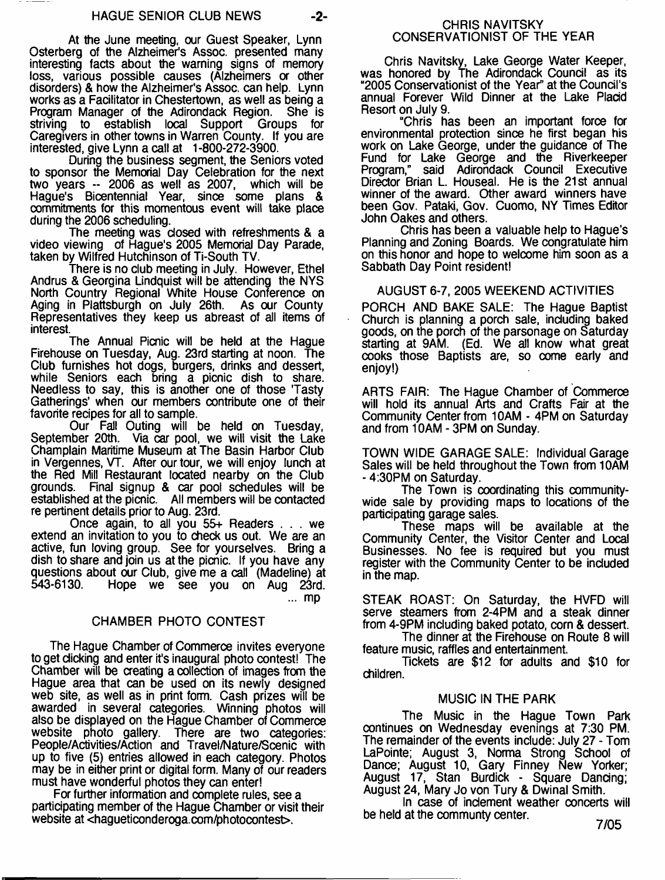At the June meeting, our Guest Speaker, Lynn Osterberg of the Alzheimer's Assoc, presented many interesting facts about the warning signs of memory loss, various possible causes (Alzheimers a other disorders) & how the Alzheimer's Assoc, can help. Lynn works as a Facilitator in Chestertown, as well as being a Program Manager of the Adirondack Region. She is striving to establish local Support Groups for Caregivers in other towns in Warren County. If you are interested, give Lynn a call at 1-800-272-3900.

During the business segment, the Seniors voted to sponsor the Memorial Day Celebration for the next two years -- 2006 as well as 2007, which will be Hague's Bicentennial Year, since some plans & commitments for this momentous event will take place during the 2006 scheduling.

The meeting was dosed with refreshments & a video viewing of Hague's 2005 Memorial Day Parade, taken by Wilfred Hutchinson of Ti-South TV.

There is no club meeting in July. However, Ethel Andrus & Georgina Lindquist will be attending the NYS North Country Regional White House Conference on Aging in Plattsburgh on July 26th. As our County Representatives they keep us abreast of all items of interest.

The Annual Picnic will be held at the Hague Firehouse on Tuesday, Aug. 23rd starting at noon. The Club furnishes hot dogs, burgers, drinks and dessert, while Seniors each bring a picnic dish to share. Needless to say, this is another one of those 'Tasty Gatherings' when our members contribute one of their favorite recipes for all to sample.

Our Fall Outing will be held on Tuesday, September 20th. Via car pool, we will visit the Lake Champlain Maritime Museum at The Basin Harbor Club in Vergennes, VT. After our tour, we will enjoy lunch at the Red Mill Restaurant located nearby on the Club grounds. Final signup & car pool schedules will be established at the picnic. All members will be contacted re pertinent details prior to Aug. 23rd.

Once again, to all you 55+ Readers . . . we extend an invitation to you to check us out. We are an active, fun loving group. See for yourselves. Bring a dish to share and join us at the picnic. If you have any questions about our Club, give me a call (Madeline) at 543-6130. Hope we see you on Aug 23rd. Hope we see you on Aug 23rd. ... mp

# CHAMBER PHOTO CONTEST

The Hague Chamber of Commerce invites everyone to get clicking and enter it's inaugural photo contest! The Chamber will be creating a collection of images from the Hague area that can be used on its newly designed web site, as well as in print form. Cash prizes will be awarded in several categories. Winning photos will also be displayed on the Hague Chamber of Commerce website photo gallery. There are two categories: People/Activities/Action and Travel/Nature/Scenic with up to five (5) entries allowed in each category. Photos may be in either print or digital form. Many of our readers must have wonderful photos they can enter!

For further information and complete rules, see a participating member of the Hague Chamber or visit their website at <hagueticonderoga.com/photocontest>.

Chris Navitsky, Lake George Water Keeper, was honored by The Adirondack Council as its "2005 Conservationist of the Year" at the Council's annual Forever Wild Dinner at the Lake Placid Resort on July 9.

"Chris has been an important force for environmental protection since he first began his work on Lake George, under the guidance of The Fund for Lake George and the Riverkeeper Program," said Adirondack Council Executive Director Brian L. Houseal. He is the 21st annual winner of the award. Other award winners have been Gov. Pataki, Gov. Cuomo, NY Times Editor John Oakes and others.

Chris has been a valuable help to Hague's Planning and Zoning Boards. We congratulate him on this honor and hope to welcome him soon as a Sabbath Day Point resident!

## AUGUST 6-7, 2005 WEEKEND ACTIVITIES

PORCH AND BAKE SALE: The Hague Baptist Church is planning a porch sale, including baked goods, on the porch of the parsonage on Saturday starting at 9AM. (Ed. We all know what great cooks those Baptists are, so come early and enjoy!)

ARTS FAIR: The Hague Chamber of Commerce will hold its annual Arts and Crafts Fair at the Community Center from 10AM - 4PM on Saturday and from 10AM - 3PM on Sunday.

TOWN WIDE GARAGE SALE: Individual Garage Sales will be held throughout the Town from 10AM - 4:30PM on Saturday.

The Town is coordinating this communitywide sale by providing maps to locations of the participating garage sales.

These maps will be available at the Community Center, the Visitor Center and Local Businesses. No fee is required but you must register with the Community Center to be included in the map.

STEAK ROAST: On Saturday, the HVFD will serve steamers from 2-4PM and a steak dinner from 4-9PM including baked potato, corn & dessert.

The dinner at the Firehouse on Route 8 will feature music, raffles and entertainment.

Tickets are \$12 for adults and \$10 for children.

#### MUSIC IN THE PARK

The Music in the Hague Town Park continues on Wednesday evenings at 7:30 PM. The remainder of the events include: July 27 - Tom LaPointe; August 3, Norma Strong School of Dance; August 10, Gary Finney New Yorker; August 17, Stan Burdick - Square Dancing; August 24, Mary Jo von Tury & Dwinal Smith.

In case of inclement weather concerts will be held at the communty center.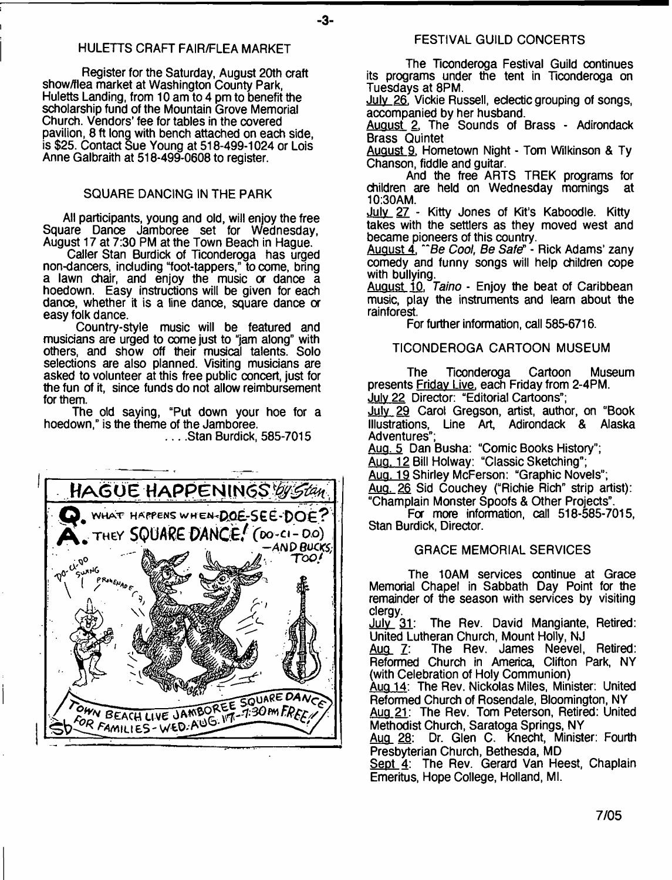## HULETTS CRAFT FAIR/FLEA MARKET

Register for the Saturday, August 20th craft show/flea market at Washington County Park, Huletts Landing, from 10 am to 4 pm to benefit the scholarship fund of the Mountain Grove Memorial Church. Vendors' fee for tables in the covered pavilion, 8 ft long with bench attached on each side, is \$25. Contact Sue Young at 518-499-1024 or Lois Anne Galbraith at 518-499-0608 to register.

## SQUARE DANCING IN THE PARK

All participants, young and old, will enjoy the free Square Dance Jamboree set for Wednesday, August 17 at 7:30 PM at the Town Beach in Hague.

Caller Stan Burdick of Ticonderoga has urged non-dancers, including "foot-tappers," to come, bring a lawn chair, and enjoy the music *or* dance a hoedown. Easy instructions will be given for each dance, whether it is a line dance, square dance or easy folk dance.

Country-style music will be featured and musicians are urged to come just to "jam along" with others, and show off their musical talents. Solo selections are also planned. Visiting musicians are asked to volunteer at this free public concert, just for the fun of it, since funds do not allow reimbursement for them.

The old saying, "Put down your hoe for a hoedown," is the theme of the Jamboree.

... Stan Burdick, 585-7015



#### FESTIVAL GUILD CONCERTS

The Ticonderoga Festival Guild continues its programs under the tent in Ticonderoga on Tuesdays at 8PM.

July 26. Vickie Russell, eclectic grouping of songs, accompanied by her husband.

August 2. The Sounds of Brass - Adirondack Brass Quintet

August 9. Hometown Night - Tom Wilkinson & Ty Chanson, fiddle and guitar.

And the free ARTS TREK programs for<br>are held on Wednesday mornings at children are held on Wednesday mornings 10:30AM.

July 27 - Kitty Jones of Kit's Kaboodle. Kitty takes with the settlers as they moved west and became pioneers of this country.

August 4. " Be *Cool, Be Saf&* - Rick Adams' zany comedy and funny songs will help children cope with bullving.

August 10. *Taino* - Enjoy the beat of Caribbean music, play the instruments and learn about the rainforest.

For further information, call 585-6716.

#### TICONDEROGA CARTOON MUSEUM

The Ticonderoga Cartoon Museum presents Friday Live, each Friday from 2-4PM. July 22 Director: "Editorial Cartoons";

July 29 Carol Gregson, artist, author, on "Book<br>Illustrations, Line Art, Adirondack & Alaska Line Art, Adirondack & Alaska Adventures"

Aug. 5 Dan Busha: "Comic Books History";

Aug. 12 Bill Holway: "Classic Sketching";

Aug. 19 Shirley McFerson: "Graphic Novels";

Aug. 26 Sid Couchey ("Richie Rich" strip artist): "Champlain Monster Spoofs & Other Projects".

Fa more information, call 518-585-7015, Stan Burdick, Director.

### GRACE MEMORIAL SERVICES

The 10AM services oontinue at Grace Memorial Chapel in Sabbath Day Point for the remainder of the season with services by visiting

clergy.<br>July\_31: The Rev. David Mangiante, Retired:

United Lutheran Church, Mount Holly, NJ The Rev. James Neevel, Retired: Reformed Church in America, Clifton Park, NY (with Celebration of Holy Communion)

Aug 14: The Rev. Nickolas Miles, Minister: United Reformed Church of Rosendale, Bloomington, NY

Aug 21: The Rev. Tom Peterson, Retired: United Methodist Church, Saratoga Springs, NY

Aug 28: Dr. Glen C. Knecht, Minister: Fourth Presbyterian Church, Bethesda, MD

Sept 4: The Rev. Gerard Van Heest, Chaplain Emeritus, Hope College, Holland, Ml.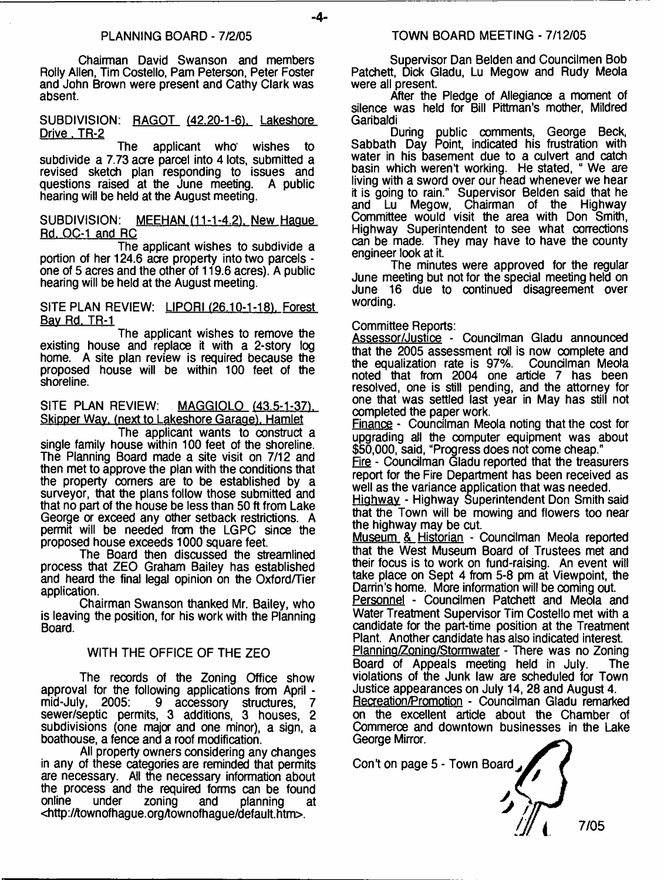#### PLANNING BOARD - 7/2/05

- **4**-

Chairman David Swanson and members Roily Allen, Tim Costello, Pam Peterson, Peter Foster and John Brown were present and Cathy Clark was absent.

SUBDIVISION: RAGOT (42.20-1-6). Lakeshore Drive, TR-2

The applicant who' wishes to subdivide a 7.73 acre parcel into 4 lots, submitted a revised sketch plan responding to issues and questions raised at the June meeting. A public hearing will be held at the August meeting.

#### SUBDIVISION: MEEHAN (11-1-4.2), New Haque Rd. OC-1 and RC

The applicant wishes to subdivide a portion of her 124.6 acre property into two parcels one of 5 acres and the other of 119.6 acres). A public hearing will be held at the August meeting.

SITE PLAN REVIEW: LIPORI (26.10-1-18). Forest Bav Rd. TR-1

The applicant wishes to remove the existing house and replace it with a 2-story log home. A site plan review is required because the proposed house will be within 100 feet of the shoreline.

SITE PLAN REVIEW: MAGGIQLO (43.5-1-37). Skipper Wav, (next to Lakeshore Garage). Hamlet

The applicant wants to construct a single family house within 100 feet of the shoreline. The Planning Board made a site visit on 7/12 and then met to approve the plan with the conditions that the property comers are to be established by a surveyor, that the plans follow those submitted and that no part of the house be less than 50 ft from Lake George or exceed any other setback restrictions. A permit will be needed from the LGPC since the proposed house exceeds 1000 square feet.

The Board then discussed the streamlined process that ZEO Graham Bailey has established and heard the final legal opinion on the Oxford/Tier application.

Chairman Swanson thanked Mr. Bailey, who is leaving the position, for his work with the Planning Board.

## WITH THE OFFICE OF THE ZEO

The records of the Zoning Office show approval for the following applications from April - 9 accessory structures, sewer/septic permits, 3 additions, 3 houses, 2 subdivisions (one major and one minor), a sign, a boathouse, a fence and a roof modification.

All property owners considering any changes in any of these categories are reminded that permits are necessary. All the necessary information about the process and the required forms can be found<br>online under zoning and planning at online under zoning and planning at <[http://townofhague.orgAownofhague/default.htm>](http://townofhague.orgAownofhague/default.htm).

Supervisor Dan Belden and Councilmen Bob Patchett, Dick Gladu, Lu Megow and Rudy Meola were all present.

After the Pledge of Allegiance a moment of silence was held for Bill Pittman's mother, Mildred Garibaldi

During public comments, George Beck, Sabbath Day Point, indicated his frustration with water in his basement due to a culvert and catch basin which weren't working. He stated, " We are living with a sword over our head whenever we hear it is going to rain." Supervisor Belden said that he and Lu Megow, Chairman of the Highway Committee would visit the area with Don Smith, Highway Superintendent to see what corrections can be made. They may have to have the county engineer look at it.

The minutes were approved for the regular June meeting but not for the special meeting held on June 16 due to continued disagreement over wording.

#### Committee Reports:

Assessor/Justice - Councilman Gladu announced that the 2005 assessment roll is now complete and the equalization rate is 97%. Councilman Meola noted that from 2004 one article 7 has been resolved, one is still pending, and the attorney for one that was settled last year in May has still not completed the paper work.

Finance - Councilman Meola noting that the cost for upgrading all the computer equipment was about \$50,000, said, "Progress does not come cheap."

Fire - Councilman Gladu reported that the treasurers report for the Fire Department has been received as well as the variance application that was needed.

Highway - Highway Superintendent Don Smith said that the Town will be mowing and flowers too near the highway may be cut.

Museum & Historian - Councilman Meola reported that the West Museum Board of Trustees met and their focus is to work on fund-raising. An event will take place on Sept 4 from 5-8 pm at Viewpoint, the Darrin's home. More information will be coming out.

Personnel - Councilmen Patchett and Meola and Water Treatment Supervisor Tim Costello met with a candidate for the part-time position at the Treatment Plant. Another candidate has also indicated interest.

Planning/Zoning/Stormwater - There was no Zoning Board of Appeals meeting held in July. The violations of the Junk law are scheduled for Town Justice appearances on July 14, 28 and August 4.

Recreation/Promotion - Councilman Gladu remarked on the excellent article about the Chamber of Commerce and downtown businesses in the Lake George Mirror.

Con't on page 5 - Town Board

7/05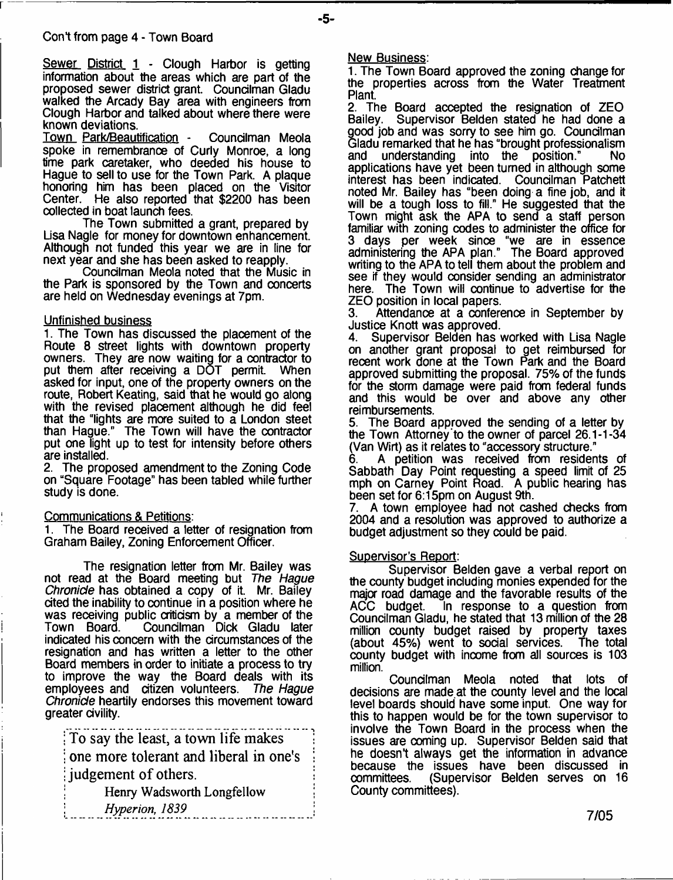Sewer District 1 - Clough Harbor is getting information about the areas which are part of the proposed sewer district grant. Councilman Gladu walked the Arcady Bay area with engineers from Clough Harbor and talked about where there were known deviations.

Town Park/Beautification - Councilman Meola spoke in remembranoe of Curly Monroe, a long time park caretaker, who deeded his house to Hague to sell to use for the Town Park. A plaque honoring him has been placed on the Visitor Center. He also reported that \$2200 has been collected in boat launch fees.

The Town submitted a grant, prepared by Lisa Nagle for money for downtown enhancement. Although not funded this year we are in line for next year and she has been asked to reapply.

Councilman Meola noted that the Music in the Park is sponsored by the Town and concerts are held on Wednesday evenings at 7pm.

#### Unfinished business

1. The Town has discussed the placement of the Route 8 street lights with downtown property owners. They are now waiting for a contractor to put them after receiving a DOT permit. When asked for input, one of the property owners on the route, Robert Keating, said that he would go along with the revised placement although he did feel that the "lights are more suited to a London steet than Hague." The Town will have the contractor put one light up to test for intensity before others are installed.

2. The proposed amendment to the Zoning Code on "Square Footage" has been tabled while further study is done.

#### Communications & Petitions:

1. The Board received a letter of resignation from Graham Bailey, Zoning Enforcement Officer.

The resignation letter from Mr. Bailey was not read at the Board meeting but *The Hague Chronicle* has obtained a copy of it. Mr. Bailey cited the inability to continue in a position where he was receiving public criticism by a member of the Town Board. Councilman Dick Gladu later indicated his concern with the circumstances of the resignation and has written a letter to the other Board members in order to initiate a process to try to improve the way the Board deals with its employees and citizen volunteers. *The Hague Chronicle* heartily endorses this movement toward greater civility.

**; To say the least, a town life makes 1** one more tolerant and liberal in one's **judgement of others.** 

: Henry Wadsworth Longfellow *\* ; *Hyperion, 1839 \*

#### New Business:

1. The Town Board approved the zoning change for the properties across from the Water Treatment Plant.

2. The Board accepted the resignation of ZEO Bailey. Supervisor Belden stated he had done a good job and was sorry to see him go. Councilman Gladu remarked that he has "brought professionalism<br>and understanding into the position." No understanding into the applications have yet been turned in although some interest has been indicated. Councilman Patchett noted Mr. Bailey has "been doing a fine job, and it will be a tough loss to fill." He suggested that the Town might ask the APA to send a staff person familiar with zoning codes to administer the office for 3 days per week since "we are in essence administering the APA plan." The Board approved writing to the APA to tell them about the problem and see if they would consider sending an administrator here. The Town will continue to advertise for the ZEO position in local papers.<br>3. Attendance at a confere

Attendance at a conference in September by

Justice Knott was approved.<br>4. Supervisor Belden has v 4. Supervisor Belden has worked with Lisa Nagle on another grant proposal to get reimbursed for recent work done at the Town Park and the Board approved submitting the proposal. 75% of the funds for the storm damage were paid from federal funds and this would be over and above any other reimbursements.

5. The Board approved the sending of a letter by the Town Attorney to the owner of parcel 26.1-1-34 (Van Wirt) as it relates to "accessory structure."

6. A petition was received from residents of Sabbath Day Point requesting a speed limit of 25 mph on Carney Point Road. A public hearing has been set for 6:15pm on August 9th.

7. A town employee had not cashed checks from 2004 and a resolution was approved to authorize a budget adjustment so they could be paid.

#### Supervisor's Report:

Supervisor Belden gave a verbal report on the county budget including monies expended for the major road damage and the favorable results of the ACC budget. In response to a question from In response to a question from Councilman Gladu, he stated that 13 million of the 28 million county budget raised by property taxes<br>(about 45%) went to social services. The total (about 45%) went to social services. county budget with inoome from all sources is 103 million.

Councilman Meola noted that lots of decisions are made at the county level and the local level boards should have some input. One way for this to happen would be for the town supervisor to involve the Town Board in the process when the issues are ooming up. Supervisor Belden said that he doesn't always get the information in advance because the issues have been discussed in<br>committees. (Supervisor Belden serves on 16 (Supervisor Belden serves on 16 County committees).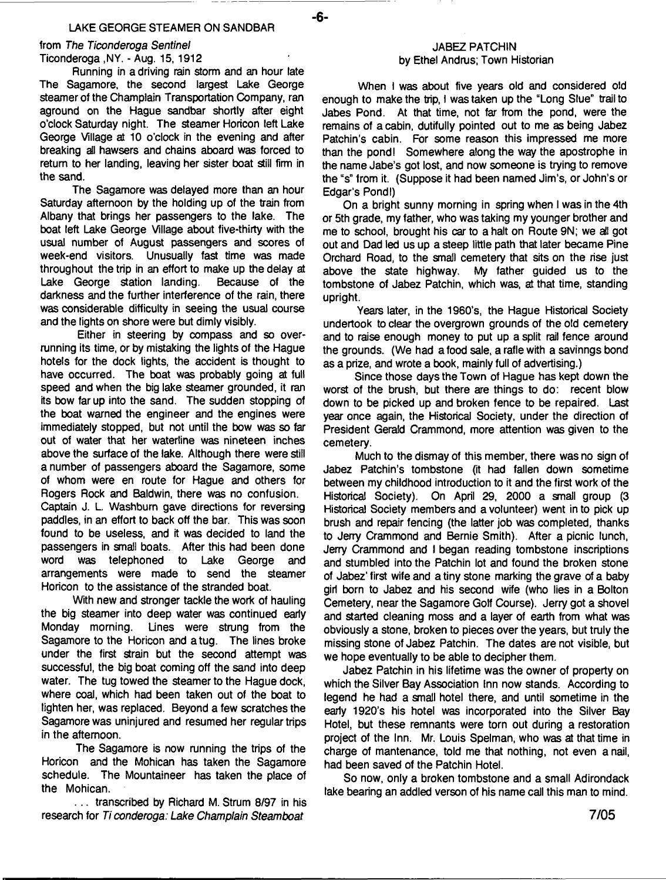#### **LAKE GEORGE STEAMER ON SANDBAR**

- **6**-

**from** *The Ticonderoga Sentinel* **Ticonderoga ,NY. - Aug. 15, 1912**

**Running in a driving rain storm and an hour late The Sagamore, the second largest Lake George steamer of the Champlain Transportation Company, ran aground on the Hague sandbar shortly after eight o'clock Saturday night. The steamer Horicon left Lake George Village at 10 o'clock in the evening and after breaking ail hawsers and chains aboard was forced to return to her landing, leaving her sister boat still firm in the sand.**

**The Sagamore was delayed more than an hour Saturday afternoon by the holding up of the train from Albany that brings her passengers to the lake. The boat left Lake George Village about five-thirty with the usual number of August passengers and scores of week-end visitors. Unusually fast time was made throughout the trip in an effort to make up the delay at Lake George station landing. Because of the darkness and the further interference of the rain, there was considerable difficulty in seeing the usual course and the lights on shore were but dimly visibly.**

**Either in steering by compass and so overrunning its time, or by mistaking the lights of the Hague hotels for the dock lights, the accident is thought to have occurred. The boat was probably going at full speed and when the big lake steamer grounded, it ran its bow far up into the sand. The sudden stopping of the boat warned the engineer and the engines were immediately stopped, but not until the bow was so far out of water that her waterline was nineteen inches above the surface of the lake. Although there were still a number of passengers aboard the Sagamore, some of whom were en route for Hague and others for Rogers Rock and Baldwin, there was no confusion. Captain J. L Washburn gave directions for reversing paddles, in an effort to back off the bar. This was soon found to be useless, and it was decided to land the passengers in small boats. After this had been done word was telephoned to Lake George and arrangements were made to send the steamer Horicon to the assistance of the stranded boat.**

**With new and stronger tackle the work of hauling the big steamer into deep water was continued early Monday morning. Lines were strung from the Sagamore to the Horicon and a tug. The lines broke under the first strain but the second attempt was successful, the big boat coming off the sand into deep water. The tug towed the steamer to the Hague dock, where coal, which had been taken out of the boat to lighten her, was replaced. Beyond a few scratches the Sagamore was uninjured and resumed her regular trips in the afternoon.**

**The Sagamore is now running the trips of the Horicon and the Mohican has taken the Sagamore schedule. The Mountaineer has taken the place of the Mohican.**

**. . . transcribed by Richard M. Strum 8/97 in his research for** *Ti conderoga: Lake Champlain Steamboat*

#### **JABEZ PATCHIN by Ethel Andrus; Town Historian**

**When I was about five years old and considered old enough to make the trip, I was taken up the "Long Slue" trail to Jabes Pond. At that time, not far from the pond, were the remains of a cabin, dutifully pointed out to me as being Jabez Patchin's cabin. For some reason this impressed me more than the pond! Somewhere along the way the apostrophe in the name Jabe's got lost, and now someone is trying to remove the "s" from it. (Suppose it had been named Jim's, or John's or Edgar's Pond!)**

**On a bright sunny morning in spring when I was in the 4th or 5th grade, my father, who was taking my younger brother and me to school, brought his car to a halt on Route 9N; we all got out and Dad led us up a steep little path that later became Pine Orchard Road, to the small cemetery that sits on the rise just above the state highway. My father guided us to the tombstone of Jabez Patchin, which was, at that time, standing upright.**

**Years later, in the 1960's, the Hague Historical Society undertook to clear the overgrown grounds of the old cemetery and to raise enough money to put up a split rail fence around the grounds. (We had a food sale, a rafle with a savinngs bond as a prize, and wrote a book, mainly full of advertising.)**

**Since those days the Town of Hague has kept down the worst of the brush, but there are things to do: recent blow down to be picked up and broken fence to be repaired. Last year once again, the Historical Society, under the direction of President Gerald Crammond, more attention was given to the cemetery.**

**Much to the dismay of this member, there was no sign of Jabez Patchin's tombstone (it had fallen down sometime between my childhood introduction to it and the first work of the Historical Society). On April 29, 2000 a small group (3 Historical Society members and a volunteer) went in to pick up brush and repair fencing (the latter job was completed, thanks to Jerry Crammond and Bernie Smith). After a picnic lunch, Jerry Crammond and I began reading tombstone inscriptions and stumbled into the Patchin lot and found the broken stone of Jabez' first wife and a tiny stone marking the grave of a baby girl born to Jabez and his second wife (who lies in a Bolton Cemetery, near the Sagamore Golf Course). Jerry got a shovel and started cleaning moss and a layer of earth from what was obviously a stone, broken to pieces over the years, but truly the missing stone of Jabez Patchin. The dates are not visible, but we hope eventually to be able to decipher them.**

**Jabez Patchin in his lifetime was the owner of property on which the Silver Bay Association Inn now stands. According to legend he had a small hotel there, and until sometime in the early 1920's his hotel was incorporated into the Silver Bay Hotel, but these remnants were torn out during a restoration project of the Inn. Mr. Louis Spelman, who was at that time in charge of mantenance, told me that nothing, not even a nail, had been saved of the Patchin Hotel.**

**So now, only a broken tombstone and a small Adirondack lake bearing an addled verson of his name call this man to mind.**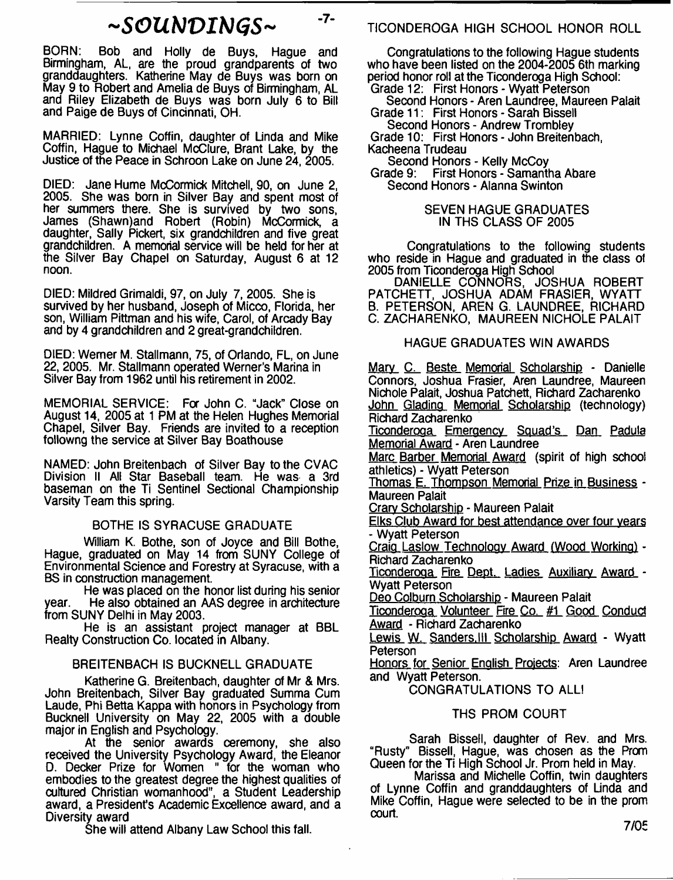# $\sim$ SOUNDINGS~

 $-7-$ 

BORN: Bob and Holly de Buys, Hague and Birmingham, AL, are the proud grandparents of two granddaughters. Katherine May de Buys was born on May 9 to Robert and Amelia de Buys of Birmingham, AL and Riley Elizabeth de Buys was born July 6 to Bill and Paige de Buys of Cincinnati, OH.

MARRIED: Lynne Coffin, daughter of Linda and Mike Coffin, Hague to Michael McClure, Brant Lake, by the Justice of the Peace in Schroon Lake on June 24, 2005.

DIED: Jane Hume McCormick Mitchell, 90, on June 2, 2005. She was born in Silver Bay and spent most of her summers there. She is survived by two sons, James (Shawn)and Robert (Robin) McCormick, a daughter, Sally Pickert, six grandchildren and five great grandchildren. A memorial service will be held for her at the Silver Bay Chapel on Saturday, August 6 at 12 noon.

DIED: Mildred Grimaldi, 97, on July 7, 2005. She is survived by her husband, Joseph of Micco, Florida, her son, William Pittman and his wife, Carol, of Arcady Bay and by 4 grandchildren and 2 great-grandchildren.

DIED: Werner M. Stallmann, 75, of Orlando, FL, on June 22, 2005. Mr. Stallmann operated Werner's Marina in Silver Bay from 1962 until his retirement in 2002.

MEMORIAL SERVICE: For John C. "Jack" Close on August 14, 2005 at 1 PM at the Helen Hughes Memorial Chapel, Silver Bay. Friends are invited to a reception followng the service at Silver Bay Boathouse

NAMED: John Breitenbach of Silver Bay to the CVAC Division II All Star Baseball team. He was a 3rd baseman on the Ti Sentinel Sectional Championship Varsity Team this spring.

## BOTHE IS SYRACUSE GRADUATE

William K. Bothe, son of Joyce and Bill Bothe, Hague, graduated on May 14 from SUNY College of Environmental Science and Forestry at Syracuse, with a BS in construction management.

He was placed on the honor list during his senior year. He also obtained an AAS degree in architecture from SUNY Delhi in May 2003.

He is an assistant project manager at BBL Realty Construction Co. located in Albany.

## BREITENBACH IS BUCKNELL GRADUATE

Katherine G. Breitenbach, daughter of Mr & Mrs. John Breitenbach, Silver Bay graduated Summa Cum Laude, Phi Betta Kappa with honors in Psychology from Bucknell University on May 22, 2005 with a double major in English and Psychology.

At the senior awards ceremony, she also received the University Psychology Award, the Eleanor D. Decker Prize for Women " for the woman who embodies to the greatest degree the highest qualities of cultured Christian womanhood", a Student Leadership award, a President's Academic Excellence award, and a Diversity award

She will attend Albany Law School this fall.

TICONDEROGA HIGH SCHOOL HONOR ROLL

Congratulations to the following Hague students who have been listed on the 2004-2005 6th marking period honor roll at the Ticonderoga High School: Grade 12: First Honors - Wyatt Peterson

Second Honors - Aren Laundree, Maureen Palait Grade 11: First Honors - Sarah Bissell

Second Honors - Andrew Trombley Grade 10: First Honors - John Breitenbach, Kacheena Trudeau

Second Honors - Kelly McCoy

Grade 9: First Honors - Samantha Abare Second Honors - Alanna Swinton

> SEVEN HAGUE GRADUATES IN THS CLASS OF 2005

Congratulations to the following students who reside in Hague and graduated in the class of 2005 from Ticonderoga High School

DANIELLE CONNORS, JOSHUA ROBERT PATCHETT, JOSHUA ADAM FRASIER, WYATT B. PETERSON, AREN G. LAUNDREE, RICHARD C. ZACHARENKO, MAUREEN NICHOLE PALAIT

## HAGUE GRADUATES WIN AWARDS

Mary C. Beste Memorial Scholarship - Danielle Connors, Joshua Frasier, Aren Laundree, Maureen Nichole Palait, Joshua Patchett, Richard Zacharenko John Glading Memorial Scholarship (technology) Richard Zacharenko

Ticonderoga Emergency Squad's Dan Padula Memorial Award - Aren Laundree

Marc Barber Memorial Award (spirit of high school athletics) - Wyatt Peterson

Thomas E. Thompson Memorial Prize in Business -Maureen Palait

Crarv Scholarship - Maureen Palait

Elks Club Award for best attendance over four years - Wyatt Peterson

Craia Laslow Technology Award (Wood Working) - Richard Zacharenko

Ticonderoga Fire Dept. Ladies Auxiliary Award - Wyatt Peterson

Deo Colburn Scholarship - Maureen Palait

Tioonderooa Volunteer Fire Co. #1 Good Conduct Award - Richard Zacharenko

Lewis W. Sanders. III Scholarship Award - Wyatt Peterson

Honors for Senior English Projects: Aren Laundree and Wyatt Peterson.

CONGRATULATIONS TO ALL!

## THS PROM COURT

Sarah Bissell, daughter of Rev. and Mrs. "Rusty" Bissell, Hague, was chosen as the Prom Queen for the Ti High School Jr. Prom held in May.

Marissa and Michelle Coffin, twin daughters of Lynne Coffin and granddaughters of Linda and Mike Coffin, Hague were selected to be in the prom court.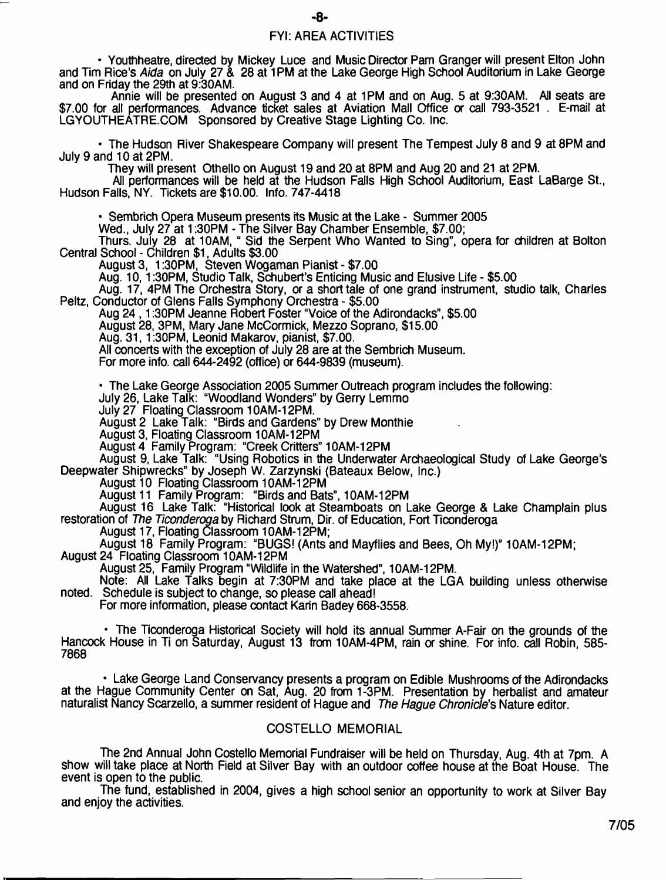## FYI: AREA ACTIVITIES

• Youthheatre, directed by Mickey Luce and Music Director Pam Granger will present Elton John and Tim Rice's *Aida* on July 27 & 28 at 1PM at the Lake George High School Auditorium in Lake George and on Friday the 29th at 9:30AM.

Annie will be presented on August 3 and 4 at 1PM and on Aug. 5 at 9:30AM. All seats are \$7.00 for all performances. Advance ticket sales at Aviation Mall Office or call 793-3521 . E-mail at LGYOUTHEATRE.COM Sponsored by Creative Stage Lighting Co. Inc.

• The Hudson River Shakespeare Company will present The Tempest July 8 and 9 at 8PM and July 9 and 10 at 2PM.

They will present Othello on August 19 and 20 at 8PM and Aug 20 and 21 at 2PM.

Ail performances will be held at the Hudson Fails High School Auditorium, East LaBarge St., Hudson Falls, NY. Tickets are \$10.00. Info. 747-4418

• Sembrich Opera Museum presents its Music at the Lake - Summer 2005

Wed., July 27 at 1:30PM - The Silver Bay Chamber Ensemble, \$7.00;

Thurs. July 28 at 10AM, " Sid the Serpent Who Wanted to Sing", opera for children at Bolton Central School - Children \$1, Adults \$3.00

August 3, 1:30PM, Steven Wogaman Pianist - \$7.00

Aug. 10,1:30PM, Studio Talk, Schubert's Enticing Music and Elusive Life - \$5.00

Aug. 17, 4PM The Orchestra Story, or a short tale of one grand instrument, studio talk, Charles Peltz, Conductor of Glens Falls Symphony Orchestra - \$5.00

Aug 24, 1:30PM Jeanne Robert Foster "Voice of the Adirondacks", \$5.00

August 28, 3PM, Mary Jane McCormick, Mezzo Soprano, \$15.00

Aug. 31, 1:30PM, Leonid Makarov, pianist, \$7.00.

All concerts with the exception of July 28 are at the Sembrich Museum.

For more info, call 644-2492 (office) or 644-9839 (museum).

• The Lake George Association 2005 Summer Outreach program includes the following:

July 26, Lake Talk: "Woodland Wonders" by Gerry Lemmo

July 27 Floating Classroom 10AM-12PM.

August 2 Lake Talk: "Birds and Gardens" by Drew Monthie

August 3, Floating Classroom 10AM-12PM

August 4 Family Program: "Creek Critters" 10AM-12PM

August 9, Lake Talk: "Using Robotics in the Underwater Archaeological Study of Lake George's Deepwater Shipwrecks" by Joseph W. Zarzynski (Bateaux Below, Inc.)

August 10 Floating Classroom 10AM-12PM

August 11 Family Program: "Birds and Bats", 10AM-12PM

August 16 Lake Talk: "Historical look at Steamboats on Lake George & Lake Champlain plus restoration of *The Ticonderoga* by Richard Strum, Dir. of Education, Fort Ticonderoga

August 17, Floating Classroom 10AM-12PM;

August 18 Family Program: "BUGS! (Ants and Mayflies and Bees, Oh My!)" 10AM-12PM;

August 24 Floating Classroom 10AM-12PM

August 25, Family Program "Wildlife in the Watershed", 10AM-12PM.

Note: All Lake Talks begin at 7:30PM and take place at the LGA building unless otherwise noted. Schedule is subject to change, so please call ahead!

For more information, please contact Karin Badey 668-3558.

• The Ticonderoga Historical Society will hold its annual Summer A-Fair on the grounds of the Hancock House in Ti on Saturday, August 13 from 10AM-4PM, rain or shine. For info. call Robin, 585-7868

• Lake George Land Conservancy presents a program on Edible Mushrooms of the Adirondacks at the Hague Community Center on Sat, Aug. 20 from 1-3PM. Presentation by herbalist and amateur naturalist Nancy Scarzello, a summer resident of Hague and *The Hague Chronicle's* Nature editor.

## COSTELLO MEMORIAL

The 2nd Annual John Costello Memorial Fundraiser will be held on Thursday, Aug. 4th at 7pm. A show will take place at North Field at Silver Bay with an outdoor coffee house at the Boat House. The event is open to the public.

The fund, established in 2004, gives a high school senior an opportunity to work at Silver Bay and enjoy the activities.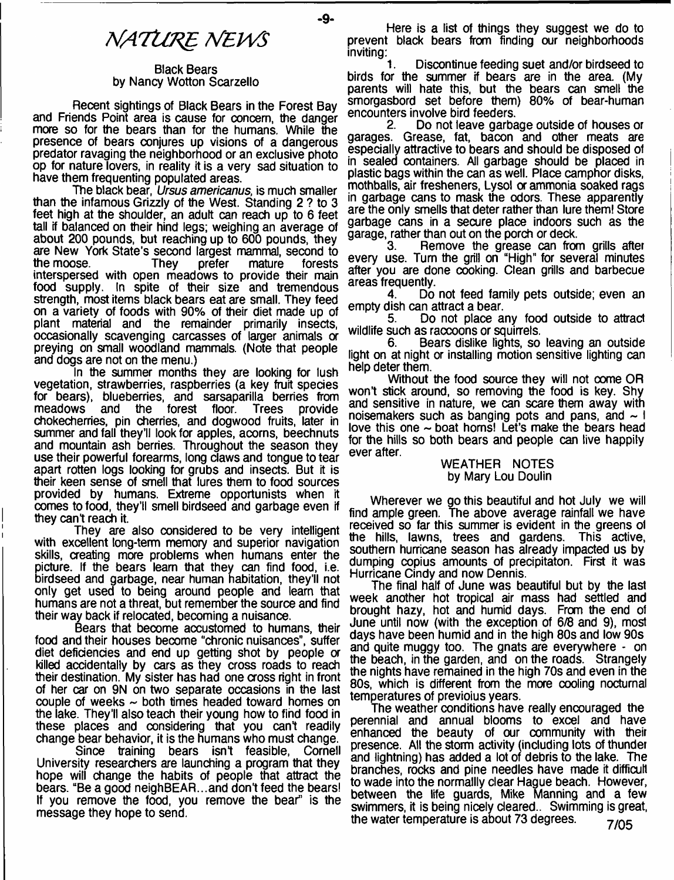# **NATURE NEWS**

#### Black Bears by Nancy Wotton Scarzello

Recent sightings of Black Bears in the Forest Bay and Friends Point area is cause for concern, the danger more so for the bears than for the humans. While the presence of bears conjures up visions of a dangerous predator ravaging the neighborhood or an exclusive photo op for nature lovers, in reality it is a very sad situation to have them frequenting populated areas.

The black bear, *Ursus americanus,* is much smaller than the infamous Grizzly of the West. Standing 2 ? to 3 feet high at the shoulder, an adult can reach up to 6 feet tall if balanced on their hind legs; weighing an average of about 200 pounds, but reaching up to 600 pounds, they are New York State's second largest mammal, second to the moose. They prefer mature forests interspersed with open meadows to provide their main food supply. In spite of their size and tremendous strength, most items black bears eat are small. They feed on a variety of foods with 90% of their diet made up of plant material and the remainder primarily insects, occasionally scavenging carcasses of larger animals or preying on small woodland mammals. (Note that people and dogs are not on the menu.)

In the summer months they are looking for lush vegetation, strawberries, raspberries (a key fruit species for bears), blueberries, and sarsaparilla berries from<br>meadows and the forest floor. Trees provide forest floor. Trees chokecherries, pin cherries, and dogwood fruits, later in summer and fall they'll look for apples, acorns, beechnuts and mountain ash berries. Throughout the season they use their powerful forearms, long claws and tongue to tear apart rotten logs looking for grubs and insects. But it is their keen sense of smell that lures them to food sources provided by humans. Extreme opportunists when it comes to food, they'll smell birdseed and garbage even if they can't reach it.

They are also considered to be very intelligent with excellent long-term memory and superior navigation skills, creating more problems when humans enter the picture. If the bears learn that they can find food, i.e. birdseed and garbage, near human habitation, they'll not only get used to being around people and learn that humans are not a threat, but remember the source and find their way back if relocated, becoming a nuisance.

Bears that become accustomed to humans, their food and their houses become "chronic nuisances", suffer diet deficiencies and end up getting shot by people or killed accidentally by cars as they cross roads to reach their destination. My sister has had one cross right in front of her car on 9N on two separate occasions in the last couple of weeks  $\sim$  both times headed toward homes on the lake. They'll also teach their young how to find food in these places and considering that you can't readily change bear behavior, it is the humans who must change.

Since training bears isn't feasible, Cornell University researchers are launching a program that they hope will change the habits of people that attract the bears. "Be a good neighBEAR...and don't feed the bears! If you remove the food, you remove the bear" is the message they hope to send.

Here is a list of things they suggest we do to prevent black bears from finding our neighborhoods inviting:<br>1.

Discontinue feeding suet and/or birdseed to birds for the summer if bears are in the area. (My parents will hate this, but the bears can smell the smorgasbord set before them) 80% of bear-human encounters involve bird feeders.<br>2. Do not leave garba

2. Do not leave garbage outside of houses or garages. Grease, fat, bacon and other meats are especially attractive to bears and should be disposed of in sealed containers. All garbage should be placed in plastic bags within the can as well. Place camphor disks, mothballs, air fresheners, Lysol or ammonia soaked rags in garbage cans to mask the odors. These apparently are the only smells that deter rather than lure them! Store garbage cans in a secure place indoors such as the garage, rather than out on the porch or deck.<br>3. Hemove the grease can from

Remove the grease can from grills after every use. Turn the grill on "High" for several minutes after you are done cooking. Clean grills and barbecue areas frequently.

Do not feed family pets outside; even an empty dish can attract a bear.

5. Do not place any food outside to attract wildlife such as raccoons or squirrels.<br>6. Bears dislike lights, so

6. Bears dislike lights, so leaving an outside light on at night or installing motion sensitive lighting can help deter them.

Without the food source they will not oome OR won't stick around, so removing the food is key. Shy and sensitive in nature, we can scare them away with noisemakers such as banging pots and pans, and  $\sim$  I love this one  $\sim$  boat homs! Let's make the bears head for the hills so both bears and people can live happily ever after.

#### WEATHER NOTES by Mary Lou Doulin

Wherever we go this beautiful and hot July we will find ample green. The above average rainfall we have received so far this summer is evident in the greens ol the hills, lawns, trees and gardens. This active, southern hurricane season has already impacted us by dumping copius amounts of precipitaton. First it was Hurricane Cindy and now Dennis.

The final half of June was beautiful but by the last week another hot tropical air mass had settled and brought hazy, hot and humid days. From the end of June until now (with the exception of 6/8 and 9), most days have been humid and in the high 80s and low 90s and quite muggy too. The gnats are everywhere - on the beach, in the garden, and on the roads. Strangely the nights have remained in the high 70s and even in the 80s, which is different from the more cooling nocturnal temperatures of previoius years.

The weather conditions have really encouraged the perennial and annual blooms to excel and have enhanced the beauty of our community with their presence. All the storm activity (including lots of thunder and lightning) has added a lot of debris to the lake. The branches, rocks and pine needles have made it difficult to wade into the normallly dear Hague beach. However, between the life guards, Mike Manning and a few swimmers, it is being nicely deared.. Swimming is great, the water temperature is about 73 degrees.  $7/05$